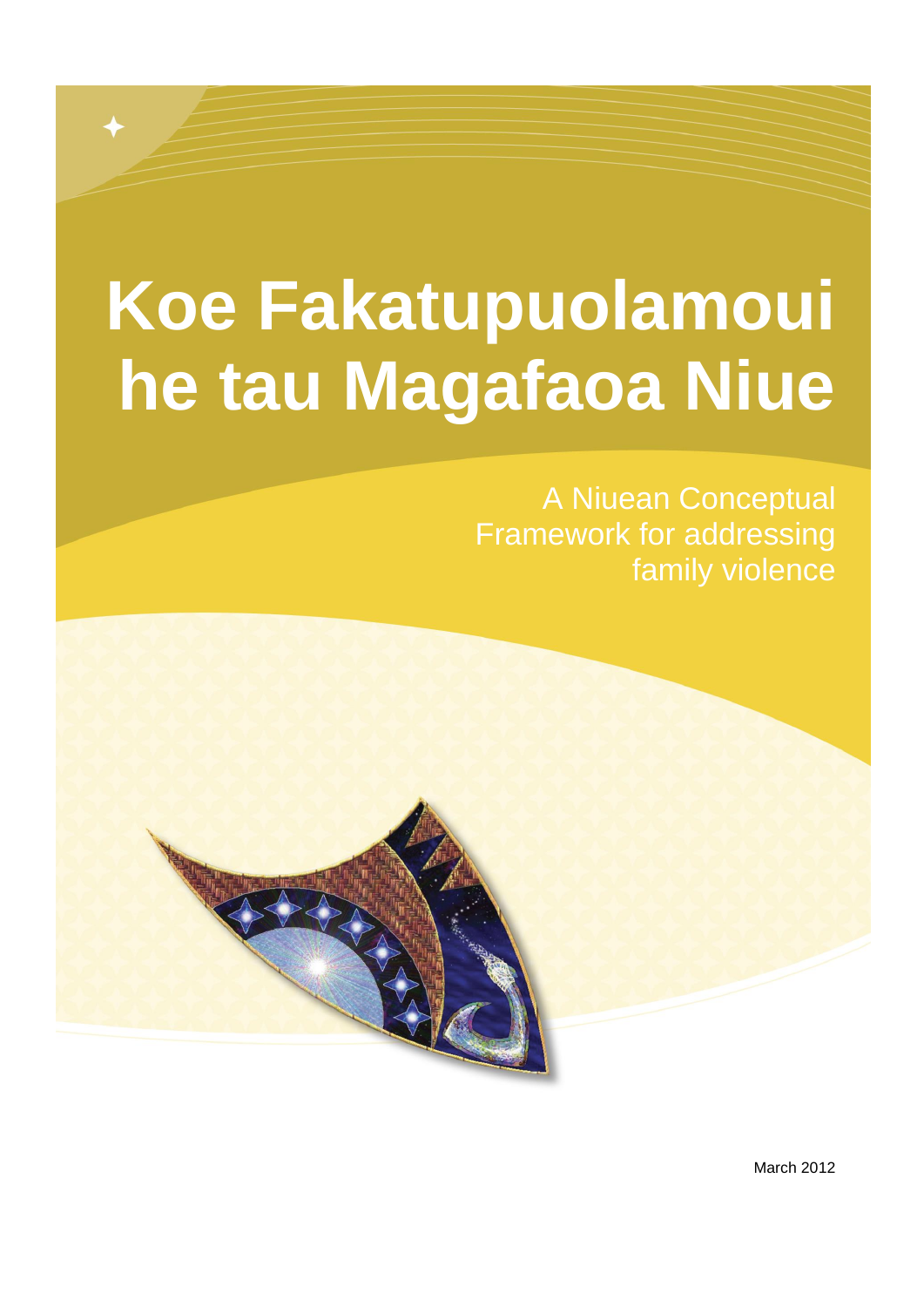# **Koe Fakatupuolamoui** he tau Magafaoa Niue

**A Niuean Conceptual Framework for addressing** family violence

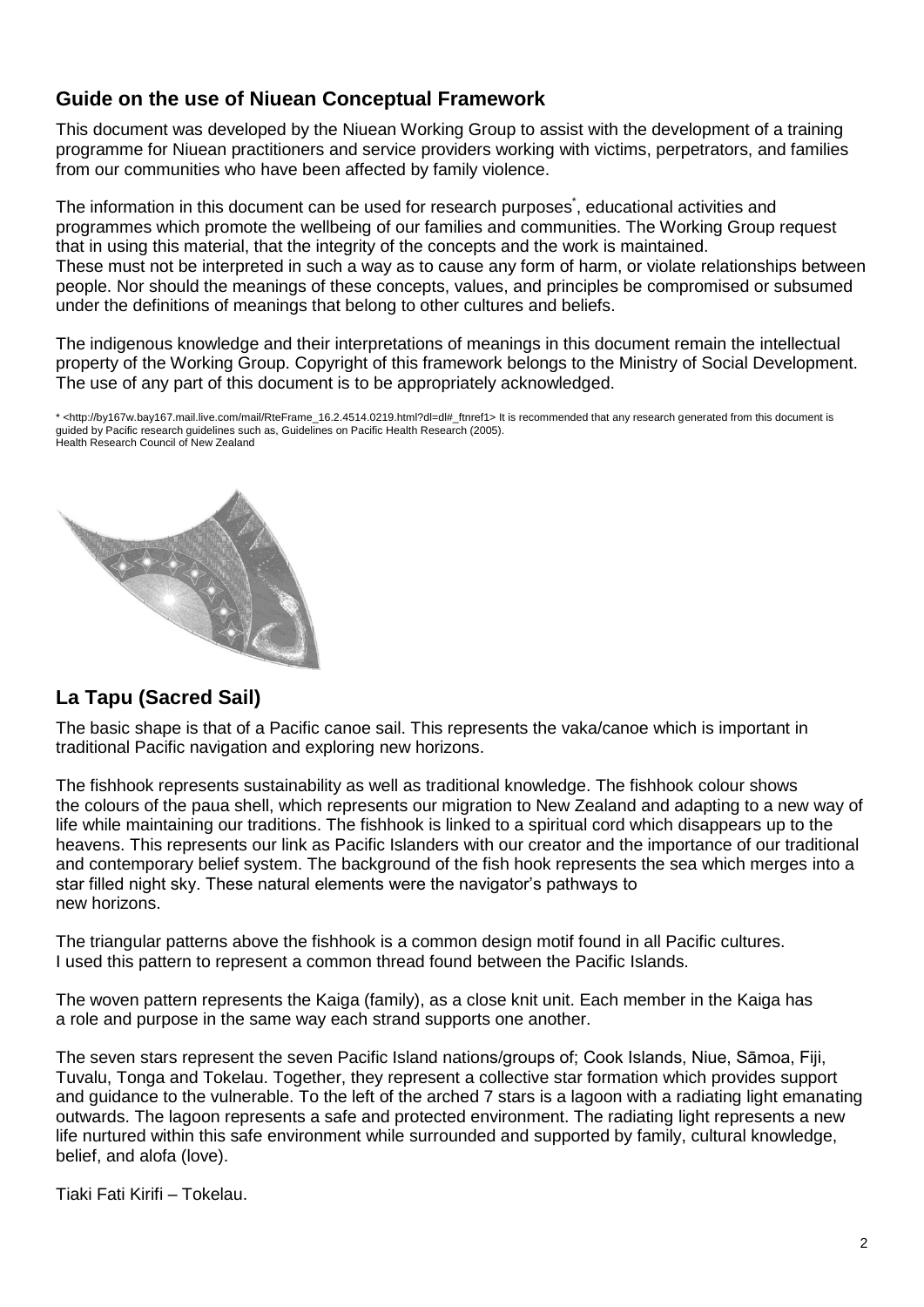### **Guide on the use of Niuean Conceptual Framework**

This document was developed by the Niuean Working Group to assist with the development of a training programme for Niuean practitioners and service providers working with victims, perpetrators, and families from our communities who have been affected by family violence.

The information in this document can be used for research purposes<sup>\*</sup>, educational activities and programmes which promote the wellbeing of our families and communities. The Working Group request that in using this material, that the integrity of the concepts and the work is maintained. These must not be interpreted in such a way as to cause any form of harm, or violate relationships between people. Nor should the meanings of these concepts, values, and principles be compromised or subsumed under the definitions of meanings that belong to other cultures and beliefs.

The indigenous knowledge and their interpretations of meanings in this document remain the intellectual property of the Working Group. Copyright of this framework belongs to the Ministry of Social Development. The use of any part of this document is to be appropriately acknowledged.

\* <http://by167w.bay167.mail.live.com/mail/RteFrame\_16.2.4514.0219.html?dl=dl#\_ftnref1> It is recommended that any research generated from this document is guided by Pacific research guidelines such as, Guidelines on Pacific Health Research (2005). Health Research Council of New Zealand

### **La Tapu (Sacred Sail)**

The basic shape is that of a Pacific canoe sail. This represents the vaka/canoe which is important in traditional Pacific navigation and exploring new horizons.

The fishhook represents sustainability as well as traditional knowledge. The fishhook colour shows the colours of the paua shell, which represents our migration to New Zealand and adapting to a new way of life while maintaining our traditions. The fishhook is linked to a spiritual cord which disappears up to the heavens. This represents our link as Pacific Islanders with our creator and the importance of our traditional and contemporary belief system. The background of the fish hook represents the sea which merges into a star filled night sky. These natural elements were the navigator's pathways to new horizons.

The triangular patterns above the fishhook is a common design motif found in all Pacific cultures. I used this pattern to represent a common thread found between the Pacific Islands.

The woven pattern represents the Kaiga (family), as a close knit unit. Each member in the Kaiga has a role and purpose in the same way each strand supports one another.

The seven stars represent the seven Pacific Island nations/groups of; Cook Islands, Niue, Sāmoa, Fiji, Tuvalu, Tonga and Tokelau. Together, they represent a collective star formation which provides support and guidance to the vulnerable. To the left of the arched 7 stars is a lagoon with a radiating light emanating outwards. The lagoon represents a safe and protected environment. The radiating light represents a new life nurtured within this safe environment while surrounded and supported by family, cultural knowledge, belief, and alofa (love).

Tiaki Fati Kirifi – Tokelau.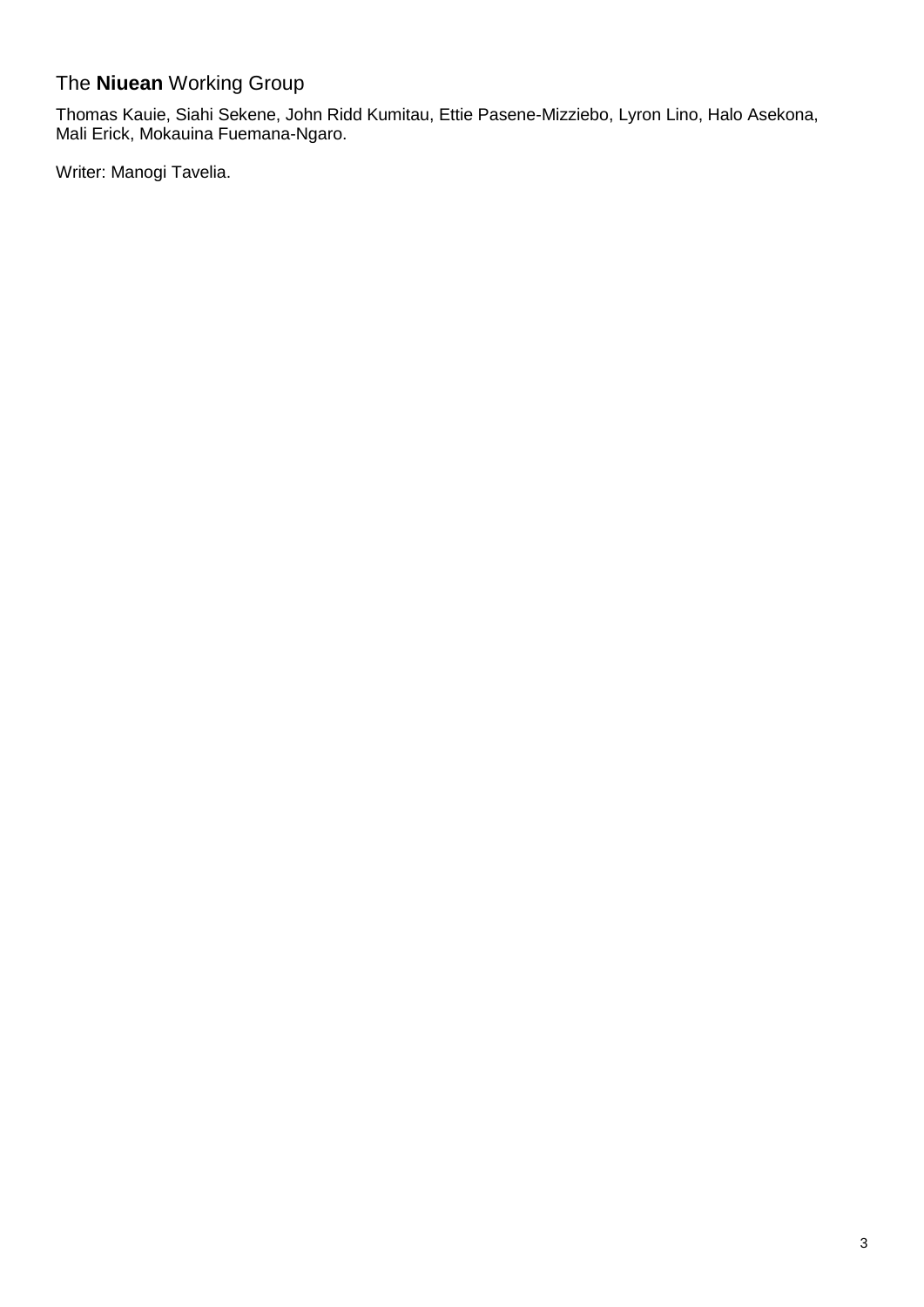### The **Niuean** Working Group

Thomas Kauie, Siahi Sekene, John Ridd Kumitau, Ettie Pasene-Mizziebo, Lyron Lino, Halo Asekona, Mali Erick, Mokauina Fuemana-Ngaro.

Writer: Manogi Tavelia.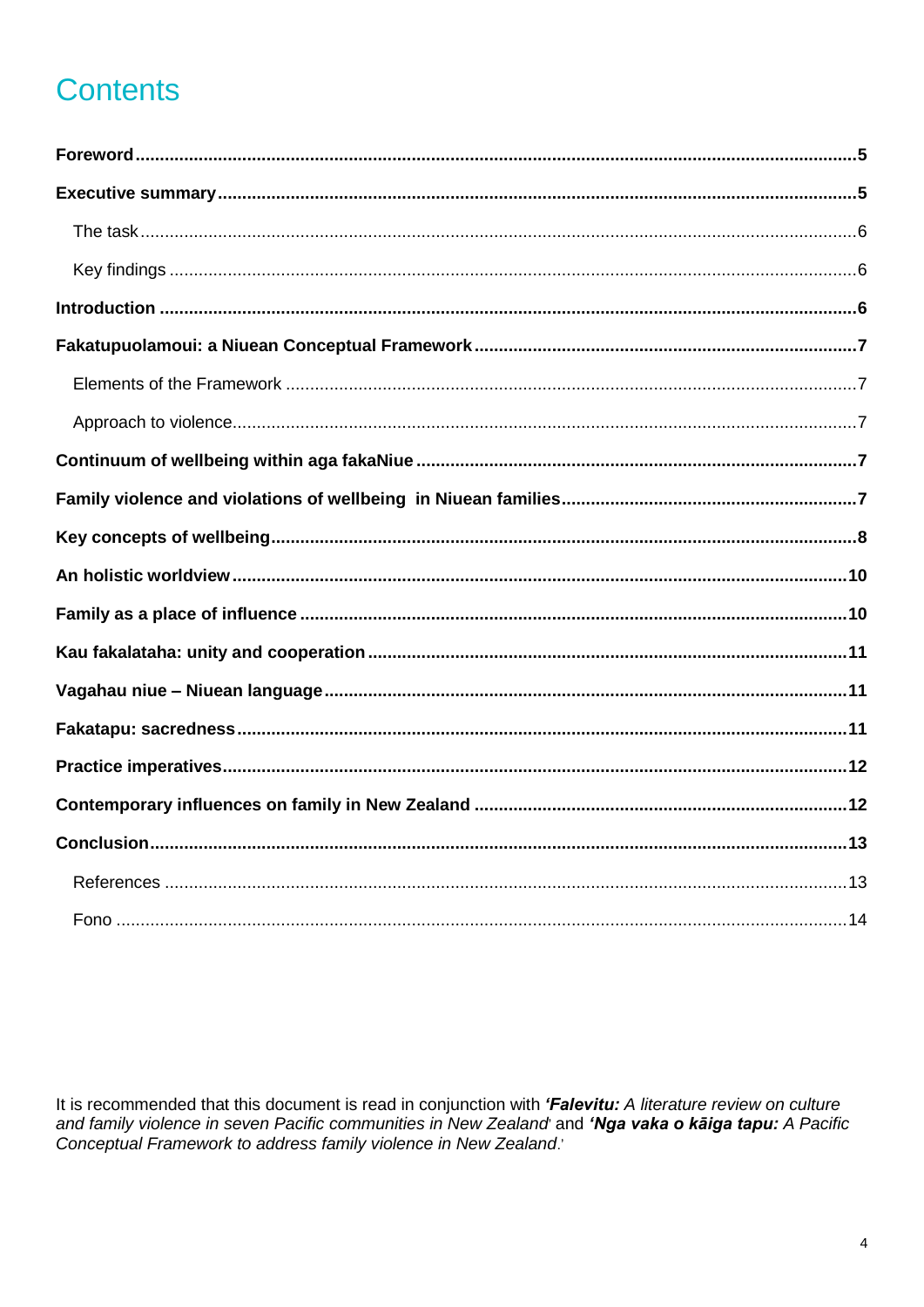# **Contents**

It is recommended that this document is read in conjunction with 'Falevitu: A literature review on culture and family violence in seven Pacific communities in New Zealand and 'Nga vaka o kaiga tapu: A Pacific Conceptual Framework to address family violence in New Zealand.'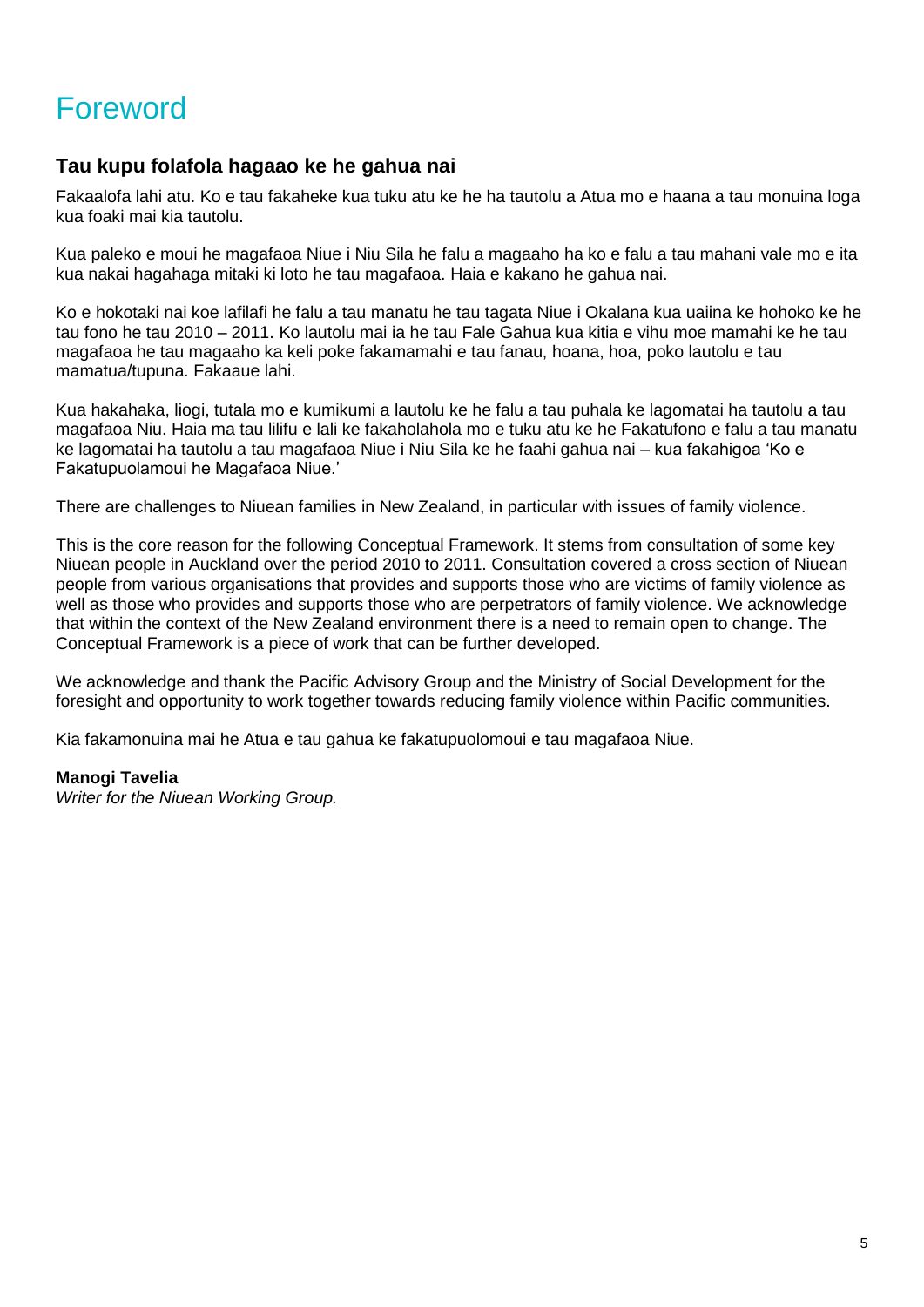# Foreword

### **Tau kupu folafola hagaao ke he gahua nai**

Fakaalofa lahi atu. Ko e tau fakaheke kua tuku atu ke he ha tautolu a Atua mo e haana a tau monuina loga kua foaki mai kia tautolu.

Kua paleko e moui he magafaoa Niue i Niu Sila he falu a magaaho ha ko e falu a tau mahani vale mo e ita kua nakai hagahaga mitaki ki loto he tau magafaoa. Haia e kakano he gahua nai.

Ko e hokotaki nai koe lafilafi he falu a tau manatu he tau tagata Niue i Okalana kua uaiina ke hohoko ke he tau fono he tau 2010 – 2011. Ko lautolu mai ia he tau Fale Gahua kua kitia e vihu moe mamahi ke he tau magafaoa he tau magaaho ka keli poke fakamamahi e tau fanau, hoana, hoa, poko lautolu e tau mamatua/tupuna. Fakaaue lahi.

Kua hakahaka, liogi, tutala mo e kumikumi a lautolu ke he falu a tau puhala ke lagomatai ha tautolu a tau magafaoa Niu. Haia ma tau lilifu e lali ke fakaholahola mo e tuku atu ke he Fakatufono e falu a tau manatu ke lagomatai ha tautolu a tau magafaoa Niue i Niu Sila ke he faahi gahua nai – kua fakahigoa 'Ko e Fakatupuolamoui he Magafaoa Niue.'

There are challenges to Niuean families in New Zealand, in particular with issues of family violence.

This is the core reason for the following Conceptual Framework. It stems from consultation of some key Niuean people in Auckland over the period 2010 to 2011. Consultation covered a cross section of Niuean people from various organisations that provides and supports those who are victims of family violence as well as those who provides and supports those who are perpetrators of family violence. We acknowledge that within the context of the New Zealand environment there is a need to remain open to change. The Conceptual Framework is a piece of work that can be further developed.

We acknowledge and thank the Pacific Advisory Group and the Ministry of Social Development for the foresight and opportunity to work together towards reducing family violence within Pacific communities.

Kia fakamonuina mai he Atua e tau gahua ke fakatupuolomoui e tau magafaoa Niue.

#### **Manogi Tavelia**

*Writer for the Niuean Working Group.*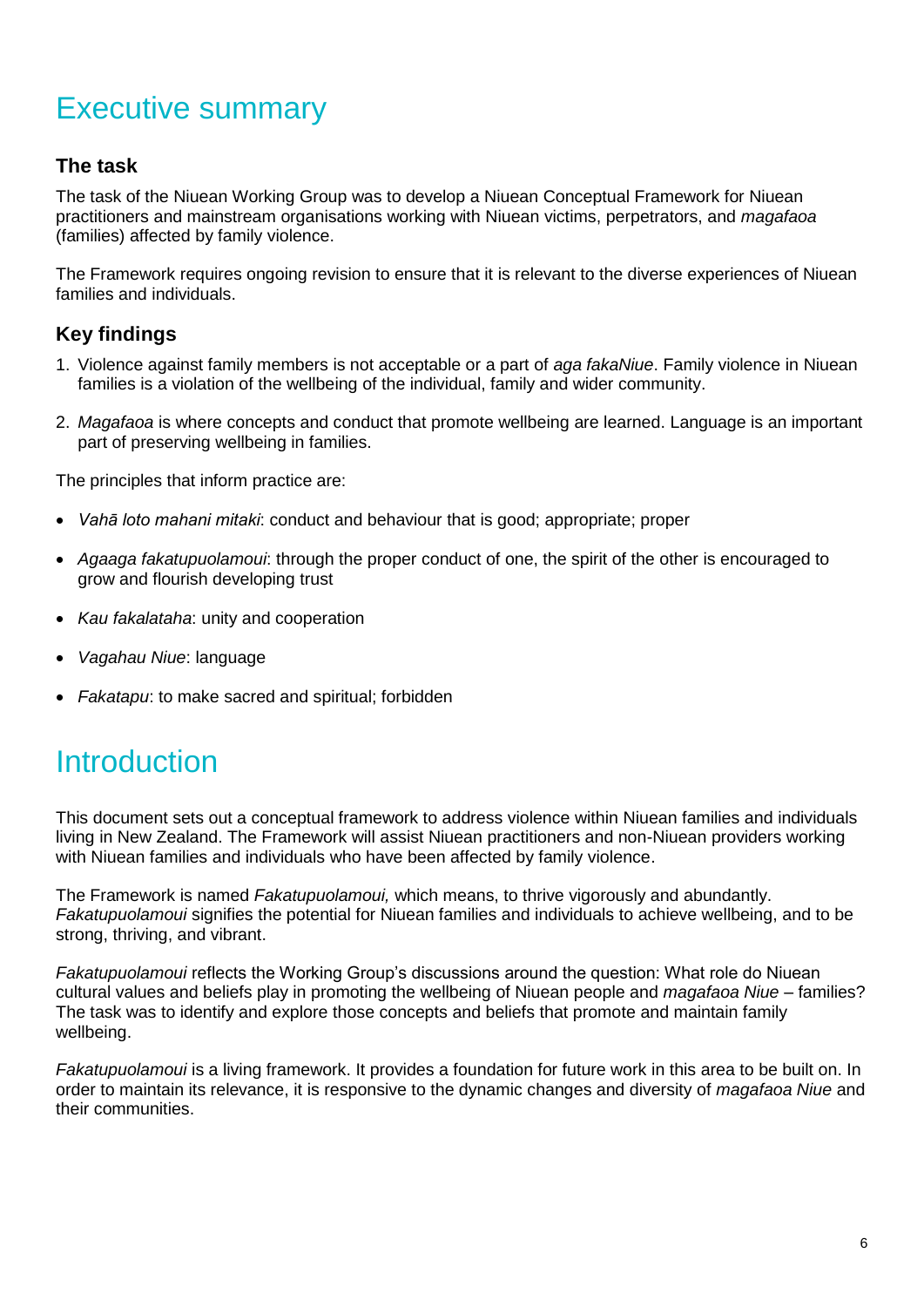# Executive summary

### **The task**

The task of the Niuean Working Group was to develop a Niuean Conceptual Framework for Niuean practitioners and mainstream organisations working with Niuean victims, perpetrators, and *magafaoa*  (families) affected by family violence.

The Framework requires ongoing revision to ensure that it is relevant to the diverse experiences of Niuean families and individuals.

### **Key findings**

- 1. Violence against family members is not acceptable or a part of *aga fakaNiue*. Family violence in Niuean families is a violation of the wellbeing of the individual, family and wider community.
- 2. *Magafaoa* is where concepts and conduct that promote wellbeing are learned. Language is an important part of preserving wellbeing in families.

The principles that inform practice are:

- *Vahā loto mahani mitaki*: conduct and behaviour that is good; appropriate; proper
- *Agaaga fakatupuolamoui*: through the proper conduct of one, the spirit of the other is encouraged to grow and flourish developing trust
- *Kau fakalataha*: unity and cooperation
- *Vagahau Niue*: language
- *Fakatapu*: to make sacred and spiritual; forbidden

# **Introduction**

This document sets out a conceptual framework to address violence within Niuean families and individuals living in New Zealand. The Framework will assist Niuean practitioners and non-Niuean providers working with Niuean families and individuals who have been affected by family violence.

The Framework is named *Fakatupuolamoui,* which means, to thrive vigorously and abundantly. *Fakatupuolamoui* signifies the potential for Niuean families and individuals to achieve wellbeing, and to be strong, thriving, and vibrant.

*Fakatupuolamoui* reflects the Working Group's discussions around the question: What role do Niuean cultural values and beliefs play in promoting the wellbeing of Niuean people and *magafaoa Niue* – families? The task was to identify and explore those concepts and beliefs that promote and maintain family wellbeing.

*Fakatupuolamoui* is a living framework. It provides a foundation for future work in this area to be built on. In order to maintain its relevance, it is responsive to the dynamic changes and diversity of *magafaoa Niue* and their communities.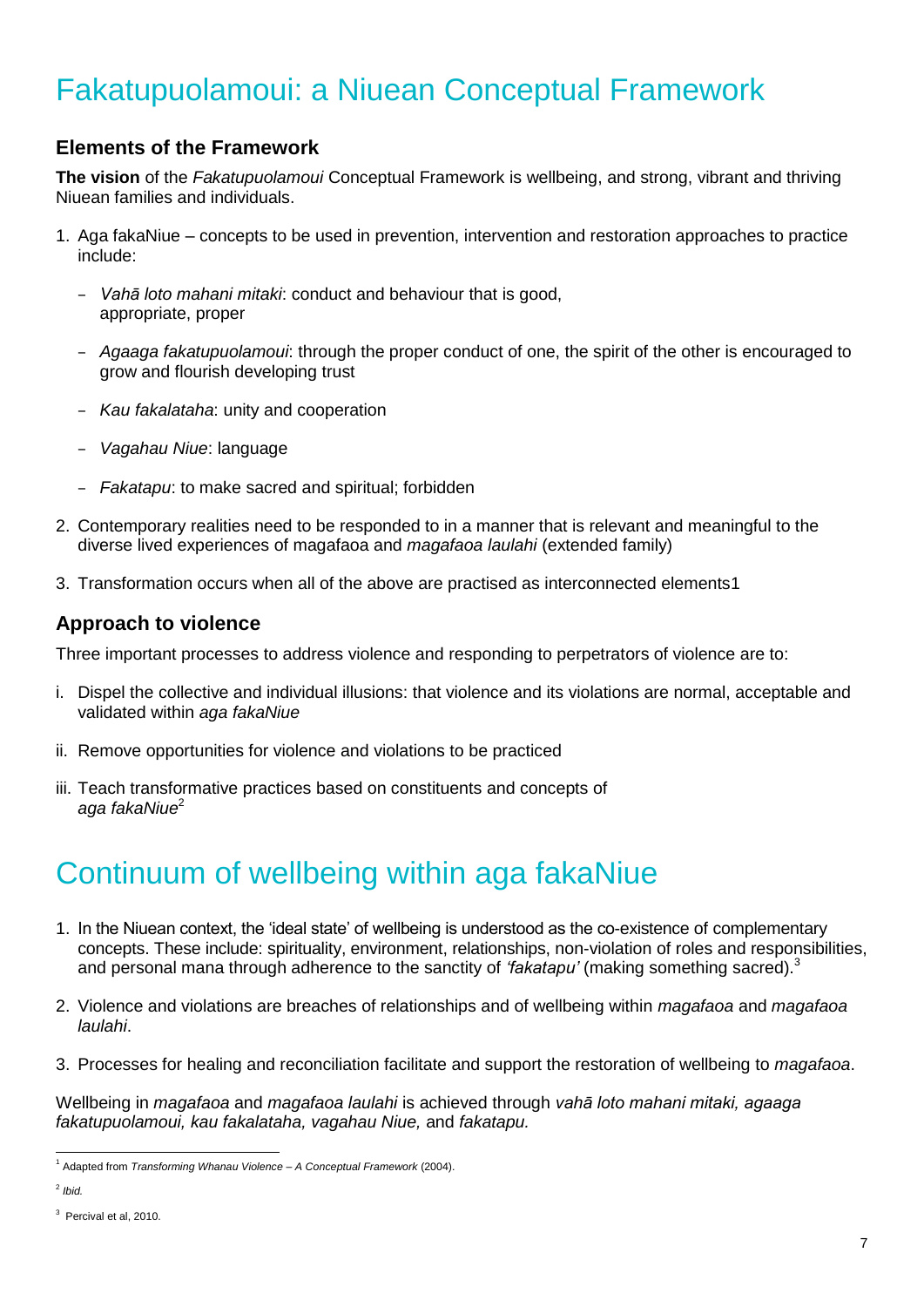# Fakatupuolamoui: a Niuean Conceptual Framework

### **Elements of the Framework**

**The vision** of the *Fakatupuolamoui* Conceptual Framework is wellbeing, and strong, vibrant and thriving Niuean families and individuals.

- 1. Aga fakaNiue concepts to be used in prevention, intervention and restoration approaches to practice include:
	- *Vahā loto mahani mitaki*: conduct and behaviour that is good, appropriate, proper
	- *Agaaga fakatupuolamoui*: through the proper conduct of one, the spirit of the other is encouraged to grow and flourish developing trust
	- *Kau fakalataha*: unity and cooperation
	- *Vagahau Niue*: language
	- *Fakatapu*: to make sacred and spiritual; forbidden
- 2. Contemporary realities need to be responded to in a manner that is relevant and meaningful to the diverse lived experiences of magafaoa and *magafaoa laulahi* (extended family)
- 3. Transformation occurs when all of the above are practised as interconnected elements1

#### **Approach to violence**

Three important processes to address violence and responding to perpetrators of violence are to:

- i. Dispel the collective and individual illusions: that violence and its violations are normal, acceptable and validated within *aga fakaNiue*
- ii. Remove opportunities for violence and violations to be practiced
- iii. Teach transformative practices based on constituents and concepts of *aga fakaNiue*<sup>2</sup>

# Continuum of wellbeing within aga fakaNiue

- 1. In the Niuean context, the 'ideal state' of wellbeing is understood as the co-existence of complementary concepts. These include: spirituality, environment, relationships, non-violation of roles and responsibilities, and personal mana through adherence to the sanctity of *'fakatapu'* (making something sacred).<sup>3</sup>
- 2. Violence and violations are breaches of relationships and of wellbeing within *magafaoa* and *magafaoa laulahi*.
- 3. Processes for healing and reconciliation facilitate and support the restoration of wellbeing to *magafaoa*.

Wellbeing in *magafaoa* and *magafaoa laulahi* is achieved through *vahā loto mahani mitaki, agaaga fakatupuolamoui, kau fakalataha, vagahau Niue,* and *fakatapu.*

<sup>-</sup><sup>1</sup> Adapted from *Transforming Whanau Violence – A Conceptual Framework* (2004).

<sup>2</sup> *Ibid.* 

 $3$  Percival et al, 2010.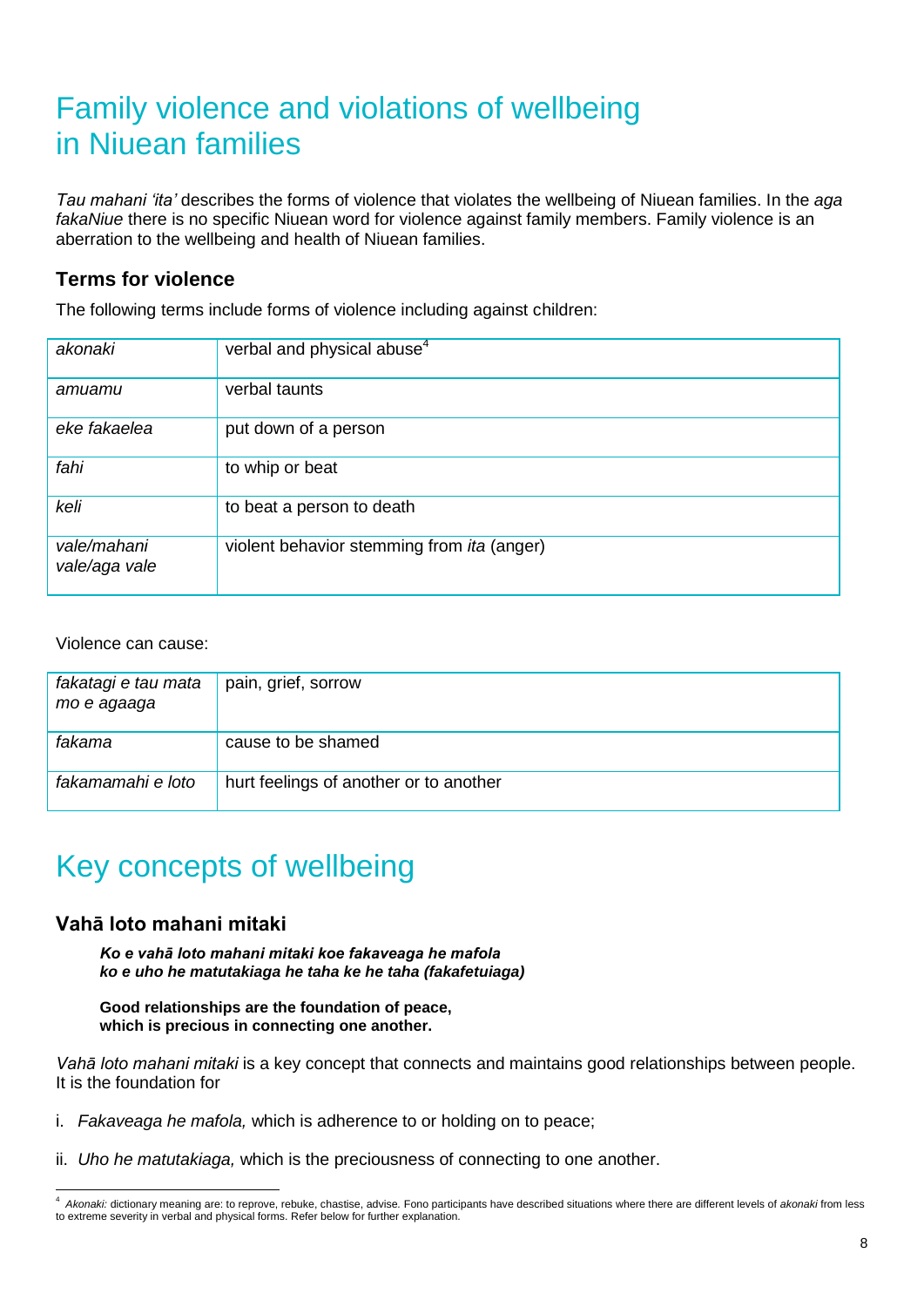# Family violence and violations of wellbeing in Niuean families

*Tau mahani 'ita'* describes the forms of violence that violates the wellbeing of Niuean families. In the *aga fakaNiue* there is no specific Niuean word for violence against family members. Family violence is an aberration to the wellbeing and health of Niuean families.

#### **Terms for violence**

The following terms include forms of violence including against children:

| akonaki                      | verbal and physical abuse <sup>4</sup>            |
|------------------------------|---------------------------------------------------|
| amuamu                       | verbal taunts                                     |
| eke fakaelea                 | put down of a person                              |
| fahi                         | to whip or beat                                   |
| keli                         | to beat a person to death                         |
| vale/mahani<br>vale/aga vale | violent behavior stemming from <i>ita</i> (anger) |

Violence can cause:

| fakatagi e tau mata<br>mo e agaaga | pain, grief, sorrow                    |
|------------------------------------|----------------------------------------|
| fakama                             | cause to be shamed                     |
| fakamamahi e loto                  | hurt feelings of another or to another |

# Key concepts of wellbeing

#### **Vahā loto mahani mitaki**

*Ko e vahā loto mahani mitaki koe fakaveaga he mafola ko e uho he matutakiaga he taha ke he taha (fakafetuiaga)*

**Good relationships are the foundation of peace, which is precious in connecting one another.**

*Vahā loto mahani mitaki* is a key concept that connects and maintains good relationships between people. It is the foundation for

- i. *Fakaveaga he mafola,* which is adherence to or holding on to peace;
- ii. *Uho he matutakiaga,* which is the preciousness of connecting to one another.

 4 *Akonaki:* dictionary meaning are: to reprove, rebuke, chastise, advise*.* Fono participants have described situations where there are different levels of *akonaki* from less to extreme severity in verbal and physical forms. Refer below for further explanation.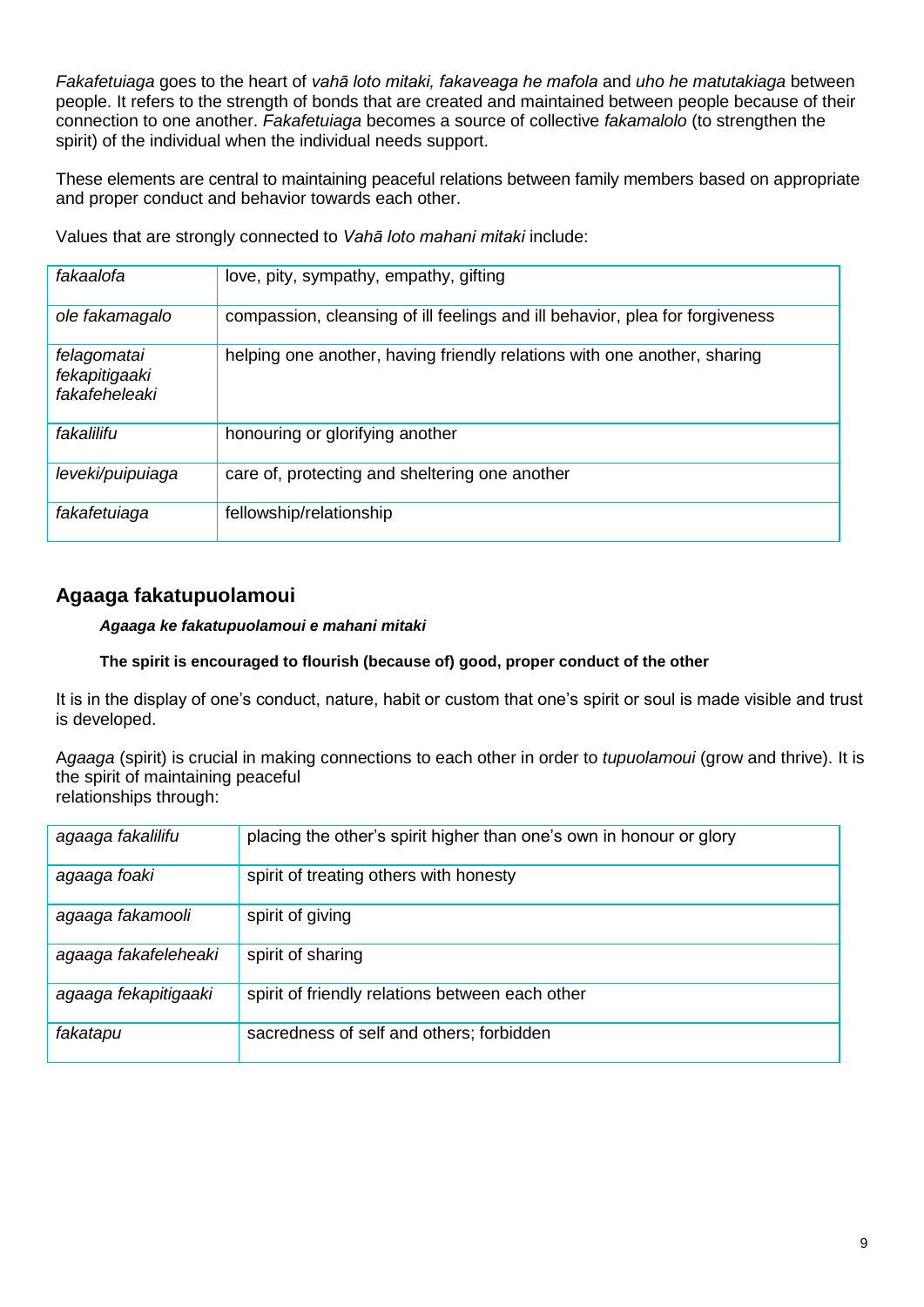*Fakafetuiaga* goes to the heart of *vahā loto mitaki, fakaveaga he mafola* and *uho he matutakiaga* between people. It refers to the strength of bonds that are created and maintained between people because of their connection to one another. *Fakafetuiaga* becomes a source of collective *fakamalolo* (to strengthen the spirit) of the individual when the individual needs support.

These elements are central to maintaining peaceful relations between family members based on appropriate and proper conduct and behavior towards each other.

Values that are strongly connected to *Vahā loto mahani mitaki* include:

| fakaalofa                                     | love, pity, sympathy, empathy, gifting                                       |
|-----------------------------------------------|------------------------------------------------------------------------------|
| ole fakamagalo                                | compassion, cleansing of ill feelings and ill behavior, plea for forgiveness |
| felagomatai<br>fekapitigaaki<br>fakafeheleaki | helping one another, having friendly relations with one another, sharing     |
| fakalilifu                                    | honouring or glorifying another                                              |
| leveki/puipuiaga                              | care of, protecting and sheltering one another                               |
| fakafetuiaga                                  | fellowship/relationship                                                      |

### **Agaaga fakatupuolamoui**

#### *Agaaga ke fakatupuolamoui e mahani mitaki*

#### **The spirit is encouraged to flourish (because of) good, proper conduct of the other**

It is in the display of one's conduct, nature, habit or custom that one's spirit or soul is made visible and trust is developed.

A*gaaga* (spirit) is crucial in making connections to each other in order to *tupuolamoui* (grow and thrive). It is the spirit of maintaining peaceful relationships through:

| agaaga fakalilifu    | placing the other's spirit higher than one's own in honour or glory |
|----------------------|---------------------------------------------------------------------|
| agaaga foaki         | spirit of treating others with honesty                              |
| agaaga fakamooli     | spirit of giving                                                    |
| agaaga fakafeleheaki | spirit of sharing                                                   |
| agaaga fekapitigaaki | spirit of friendly relations between each other                     |
| fakatapu             | sacredness of self and others; forbidden                            |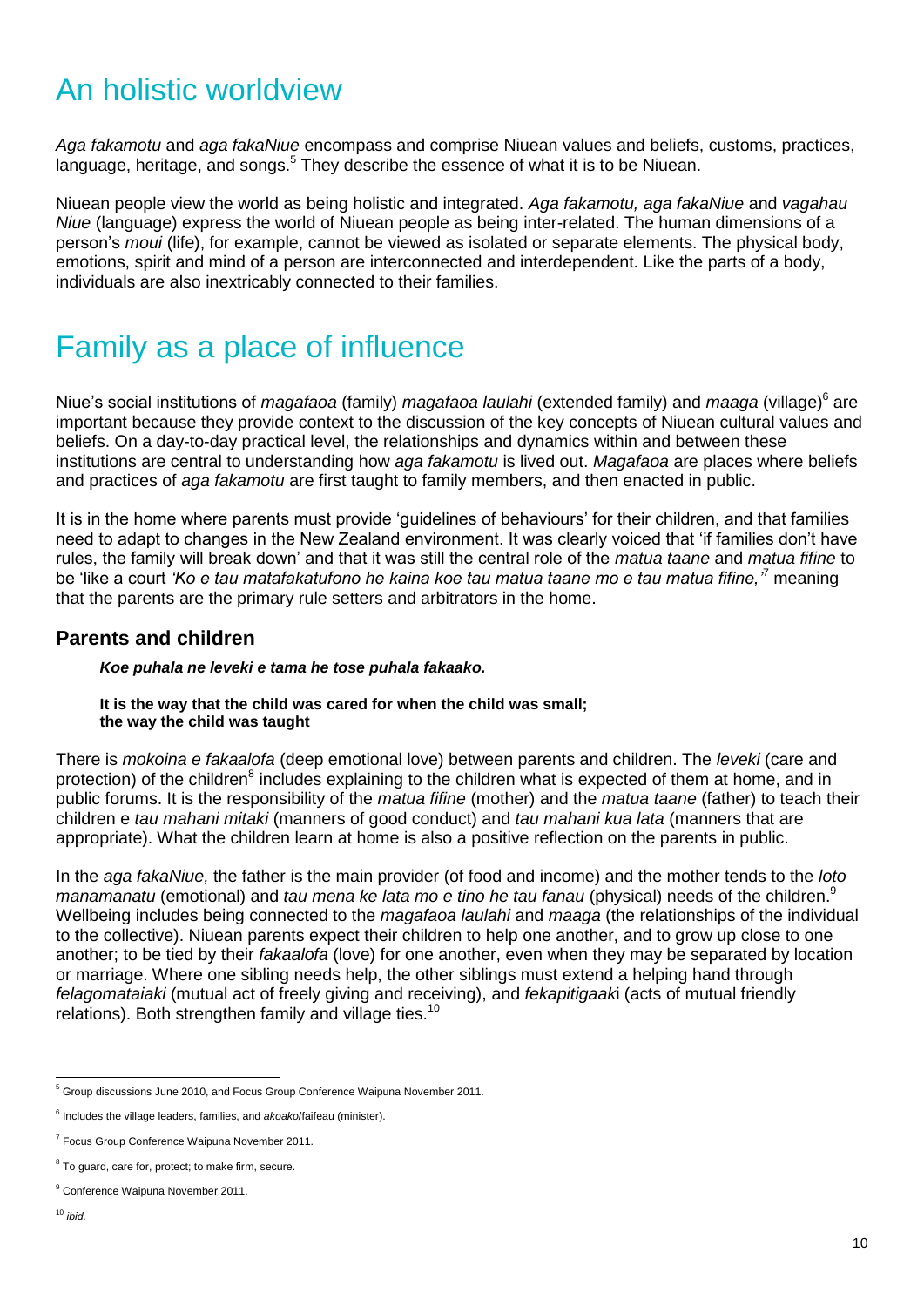# An holistic worldview

*Aga fakamotu* and *aga fakaNiue* encompass and comprise Niuean values and beliefs, customs, practices, language, heritage, and songs.<sup>5</sup> They describe the essence of what it is to be Niuean.

Niuean people view the world as being holistic and integrated. *Aga fakamotu, aga fakaNiue* and *vagahau Niue* (language) express the world of Niuean people as being inter-related. The human dimensions of a person's *moui* (life), for example, cannot be viewed as isolated or separate elements. The physical body, emotions, spirit and mind of a person are interconnected and interdependent. Like the parts of a body, individuals are also inextricably connected to their families.

### Family as a place of influence

Niue's social institutions of *magafaoa* (family) *magafaoa laulahi* (extended family) and *maaga* (village)<sup>6</sup> are important because they provide context to the discussion of the key concepts of Niuean cultural values and beliefs. On a day-to-day practical level, the relationships and dynamics within and between these institutions are central to understanding how *aga fakamotu* is lived out. *Magafaoa* are places where beliefs and practices of *aga fakamotu* are first taught to family members, and then enacted in public.

It is in the home where parents must provide 'guidelines of behaviours' for their children, and that families need to adapt to changes in the New Zealand environment. It was clearly voiced that 'if families don't have rules, the family will break down' and that it was still the central role of the *matua taane* and *matua fifine* to be 'like a court *'Ko e tau matafakatufono he kaina koe tau matua taane mo e tau matua fifine,'*<sup>7</sup> meaning that the parents are the primary rule setters and arbitrators in the home.

### **Parents and children**

*Koe puhala ne leveki e tama he tose puhala fakaako.*

**It is the way that the child was cared for when the child was small; the way the child was taught**

There is *mokoina e fakaalofa* (deep emotional love) between parents and children. The *leveki* (care and protection) of the children<sup>8</sup> includes explaining to the children what is expected of them at home, and in public forums. It is the responsibility of the *matua fifine* (mother) and the *matua taane* (father) to teach their children e *tau mahani mitaki* (manners of good conduct) and *tau mahani kua lata* (manners that are appropriate). What the children learn at home is also a positive reflection on the parents in public.

In the *aga fakaNiue,* the father is the main provider (of food and income) and the mother tends to the *loto manamanatu* (emotional) and *tau mena ke lata mo e tino he tau fanau* (physical) needs of the children.<sup>9</sup> Wellbeing includes being connected to the *magafaoa laulahi* and *maaga* (the relationships of the individual to the collective). Niuean parents expect their children to help one another, and to grow up close to one another; to be tied by their *fakaalofa* (love) for one another, even when they may be separated by location or marriage. Where one sibling needs help, the other siblings must extend a helping hand through *felagomataiaki* (mutual act of freely giving and receiving), and *fekapitigaak*i (acts of mutual friendly relations). Both strengthen family and village ties.<sup>10</sup>

<sup>-</sup><sup>5</sup> Group discussions June 2010, and Focus Group Conference Waipuna November 2011.

<sup>6</sup> Includes the village leaders, families, and *akoako*/faifeau (minister).

<sup>&</sup>lt;sup>7</sup> Focus Group Conference Waipuna November 2011.

<sup>&</sup>lt;sup>8</sup> To guard, care for, protect; to make firm, secure.

<sup>&</sup>lt;sup>9</sup> Conference Waipuna November 2011.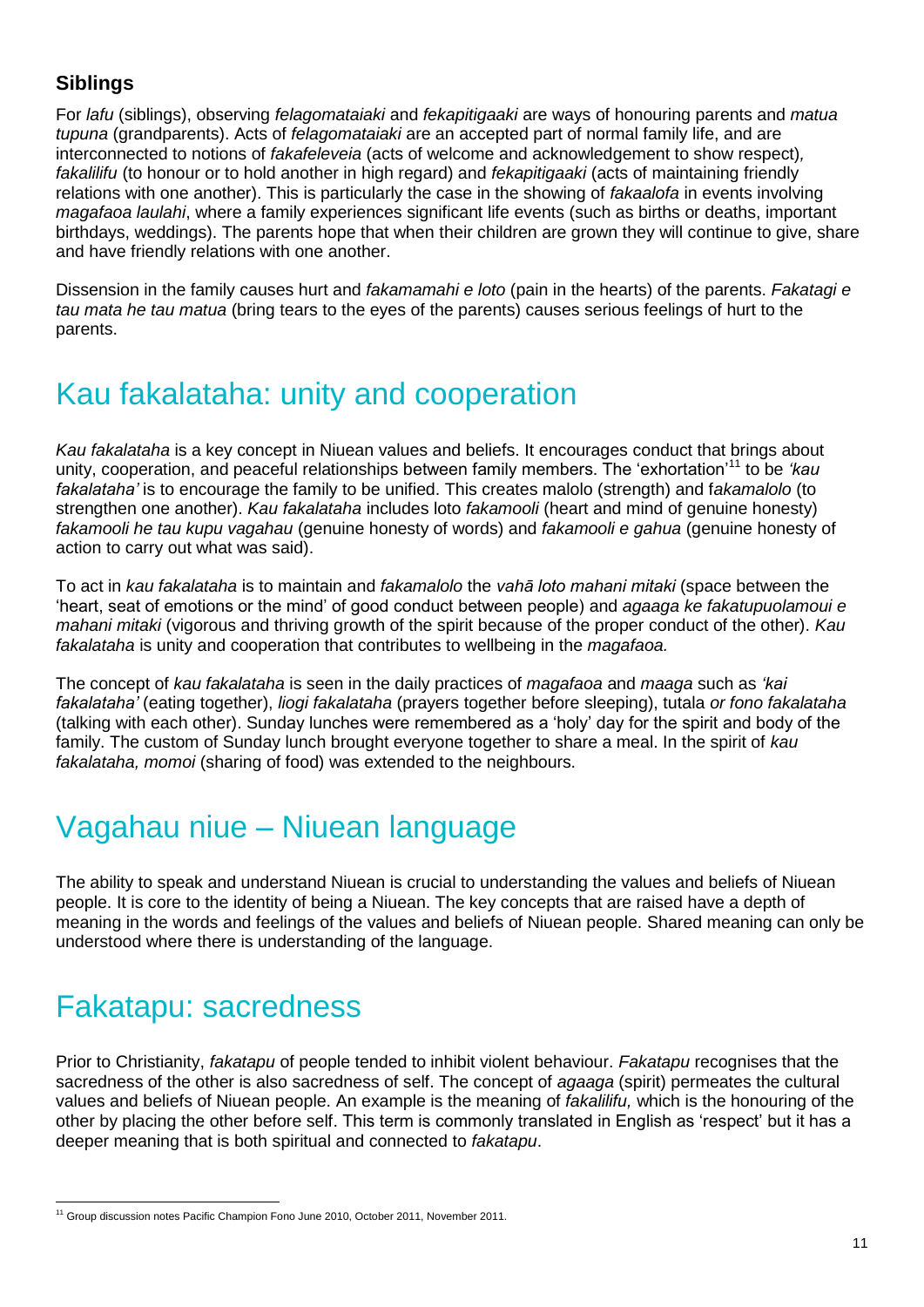### **Siblings**

For *lafu* (siblings), observing *felagomataiaki* and *fekapitigaaki* are ways of honouring parents and *matua tupuna* (grandparents). Acts of *felagomataiaki* are an accepted part of normal family life, and are interconnected to notions of *fakafeleveia* (acts of welcome and acknowledgement to show respect)*, fakalilifu* (to honour or to hold another in high regard) and *fekapitigaaki* (acts of maintaining friendly relations with one another). This is particularly the case in the showing of *fakaalofa* in events involving *magafaoa laulahi*, where a family experiences significant life events (such as births or deaths, important birthdays, weddings). The parents hope that when their children are grown they will continue to give, share and have friendly relations with one another.

Dissension in the family causes hurt and *fakamamahi e loto* (pain in the hearts) of the parents. *Fakatagi e tau mata he tau matua* (bring tears to the eyes of the parents) causes serious feelings of hurt to the parents.

# Kau fakalataha: unity and cooperation

*Kau fakalataha* is a key concept in Niuean values and beliefs. It encourages conduct that brings about unity, cooperation, and peaceful relationships between family members. The 'exhortation'<sup>11</sup> to be *'kau fakalataha'* is to encourage the family to be unified. This creates malolo (strength) and f*akamalolo* (to strengthen one another). *Kau fakalataha* includes loto *fakamooli* (heart and mind of genuine honesty) *fakamooli he tau kupu vagahau* (genuine honesty of words) and *fakamooli e gahua* (genuine honesty of action to carry out what was said).

To act in *kau fakalataha* is to maintain and *fakamalolo* the *vahā loto mahani mitaki* (space between the 'heart, seat of emotions or the mind' of good conduct between people) and *agaaga ke fakatupuolamoui e mahani mitaki* (vigorous and thriving growth of the spirit because of the proper conduct of the other). *Kau fakalataha* is unity and cooperation that contributes to wellbeing in the *magafaoa.* 

The concept of *kau fakalataha* is seen in the daily practices of *magafaoa* and *maaga* such as *'kai fakalataha'* (eating together), *liogi fakalataha* (prayers together before sleeping), tutala *or fono fakalataha* (talking with each other). Sunday lunches were remembered as a 'holy' day for the spirit and body of the family. The custom of Sunday lunch brought everyone together to share a meal. In the spirit of *kau fakalataha, momoi* (sharing of food) was extended to the neighbours.

# Vagahau niue – Niuean language

The ability to speak and understand Niuean is crucial to understanding the values and beliefs of Niuean people. It is core to the identity of being a Niuean. The key concepts that are raised have a depth of meaning in the words and feelings of the values and beliefs of Niuean people. Shared meaning can only be understood where there is understanding of the language.

# Fakatapu: sacredness

Prior to Christianity, *fakatapu* of people tended to inhibit violent behaviour. *Fakatapu* recognises that the sacredness of the other is also sacredness of self. The concept of *agaaga* (spirit) permeates the cultural values and beliefs of Niuean people. An example is the meaning of *fakalilifu,* which is the honouring of the other by placing the other before self. This term is commonly translated in English as 'respect' but it has a deeper meaning that is both spiritual and connected to *fakatapu*.

<sup>-</sup><sup>11</sup> Group discussion notes Pacific Champion Fono June 2010, October 2011, November 2011.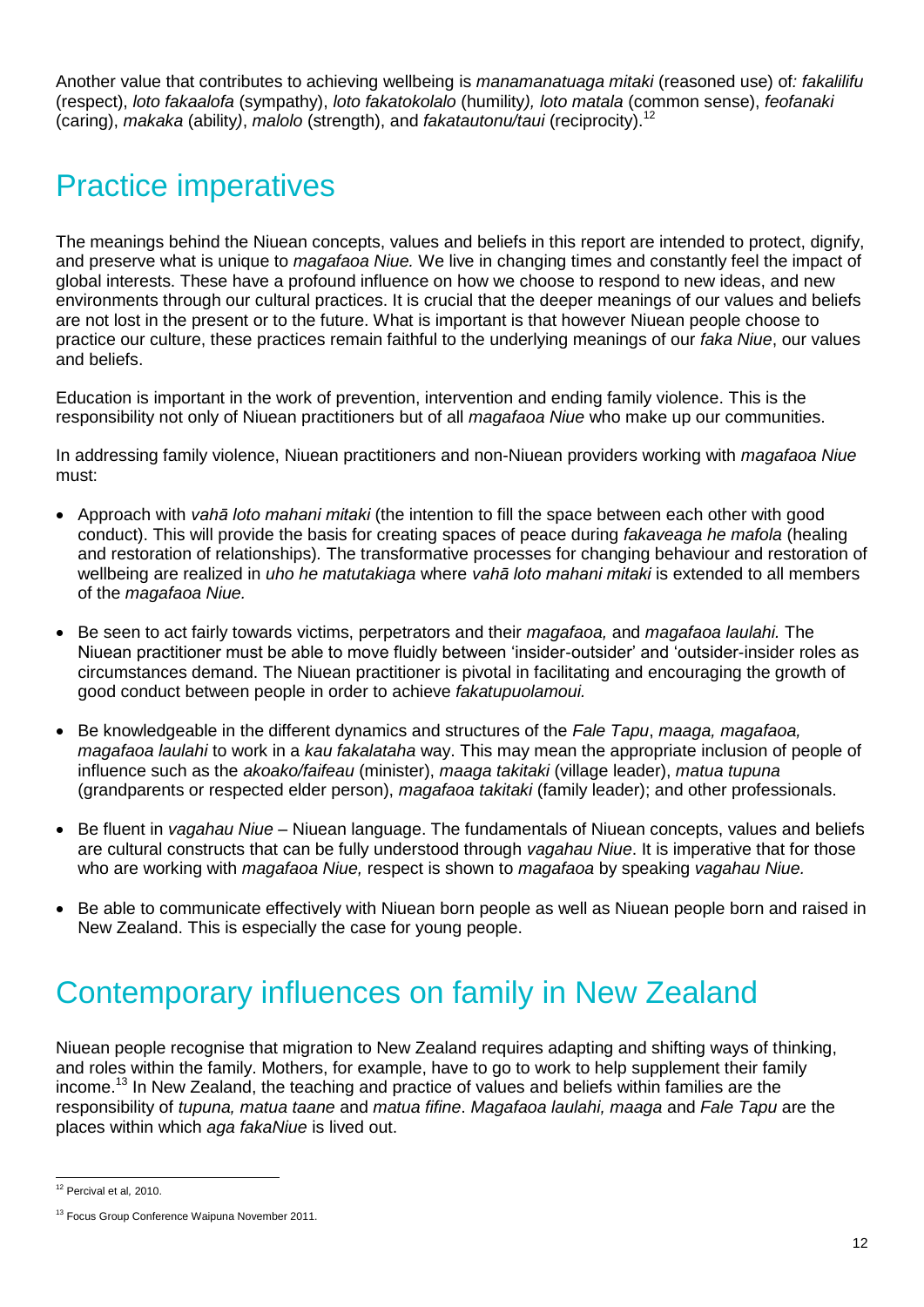Another value that contributes to achieving wellbeing is *manamanatuaga mitaki* (reasoned use) of*: fakalilifu*  (respect), *loto fakaalofa* (sympathy), *loto fakatokolalo* (humility*), loto matala* (common sense), *feofanaki*  (caring), *makaka* (ability*)*, *malolo* (strength), and *fakatautonu/taui* (reciprocity).<sup>12</sup>

### Practice imperatives

The meanings behind the Niuean concepts, values and beliefs in this report are intended to protect, dignify, and preserve what is unique to *magafaoa Niue.* We live in changing times and constantly feel the impact of global interests. These have a profound influence on how we choose to respond to new ideas, and new environments through our cultural practices. It is crucial that the deeper meanings of our values and beliefs are not lost in the present or to the future. What is important is that however Niuean people choose to practice our culture, these practices remain faithful to the underlying meanings of our *faka Niue*, our values and beliefs.

Education is important in the work of prevention, intervention and ending family violence. This is the responsibility not only of Niuean practitioners but of all *magafaoa Niue* who make up our communities.

In addressing family violence, Niuean practitioners and non-Niuean providers working with *magafaoa Niue*  must:

- Approach with *vahā loto mahani mitaki* (the intention to fill the space between each other with good conduct). This will provide the basis for creating spaces of peace during *fakaveaga he mafola* (healing and restoration of relationships)*.* The transformative processes for changing behaviour and restoration of wellbeing are realized in *uho he matutakiaga* where *vahā loto mahani mitaki* is extended to all members of the *magafaoa Niue.*
- Be seen to act fairly towards victims, perpetrators and their *magafaoa,* and *magafaoa laulahi.* The Niuean practitioner must be able to move fluidly between 'insider-outsider' and 'outsider-insider roles as circumstances demand. The Niuean practitioner is pivotal in facilitating and encouraging the growth of good conduct between people in order to achieve *fakatupuolamoui.*
- Be knowledgeable in the different dynamics and structures of the *Fale Tapu*, *maaga, magafaoa, magafaoa laulahi* to work in a *kau fakalataha* way. This may mean the appropriate inclusion of people of influence such as the *akoako/faifeau* (minister), *maaga takitaki* (village leader), *matua tupuna*  (grandparents or respected elder person), *magafaoa takitaki* (family leader); and other professionals.
- Be fluent in *vagahau Niue –* Niuean language. The fundamentals of Niuean concepts, values and beliefs are cultural constructs that can be fully understood through *vagahau Niue*. It is imperative that for those who are working with *magafaoa Niue,* respect is shown to *magafaoa* by speaking *vagahau Niue.*
- Be able to communicate effectively with Niuean born people as well as Niuean people born and raised in New Zealand. This is especially the case for young people.

# Contemporary influences on family in New Zealand

Niuean people recognise that migration to New Zealand requires adapting and shifting ways of thinking, and roles within the family. Mothers, for example, have to go to work to help supplement their family income.<sup>13</sup> In New Zealand, the teaching and practice of values and beliefs within families are the responsibility of *tupuna, matua taane* and *matua fifine*. *Magafaoa laulahi, maaga* and *Fale Tapu* are the places within which *aga fakaNiue* is lived out.

<sup>-</sup><sup>12</sup> Percival et al*,* 2010.

<sup>&</sup>lt;sup>13</sup> Focus Group Conference Waipuna November 2011.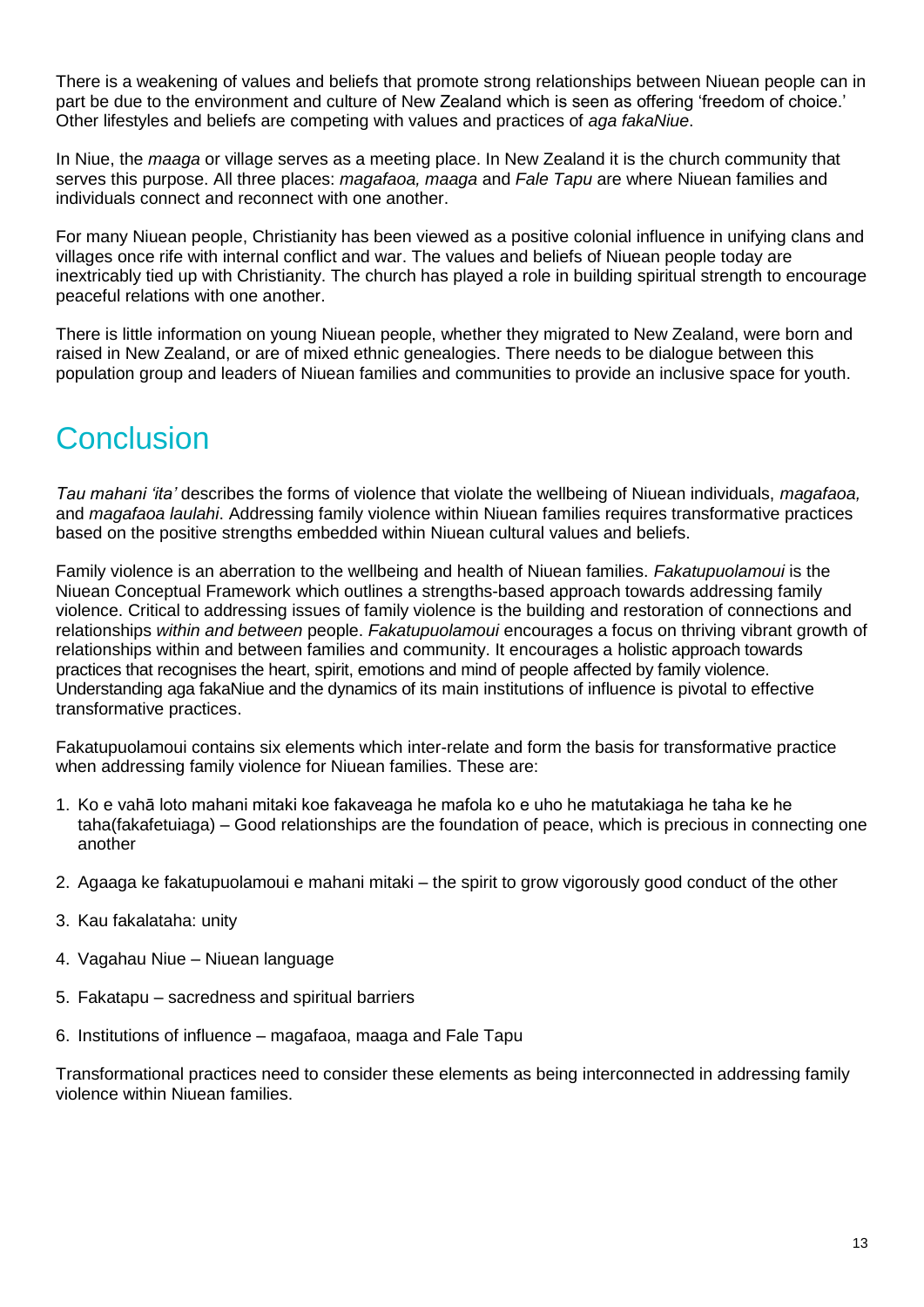There is a weakening of values and beliefs that promote strong relationships between Niuean people can in part be due to the environment and culture of New Zealand which is seen as offering 'freedom of choice.' Other lifestyles and beliefs are competing with values and practices of *aga fakaNiue*.

In Niue, the *maaga* or village serves as a meeting place. In New Zealand it is the church community that serves this purpose. All three places: *magafaoa, maaga* and *Fale Tapu* are where Niuean families and individuals connect and reconnect with one another.

For many Niuean people, Christianity has been viewed as a positive colonial influence in unifying clans and villages once rife with internal conflict and war. The values and beliefs of Niuean people today are inextricably tied up with Christianity. The church has played a role in building spiritual strength to encourage peaceful relations with one another.

There is little information on young Niuean people, whether they migrated to New Zealand, were born and raised in New Zealand, or are of mixed ethnic genealogies. There needs to be dialogue between this population group and leaders of Niuean families and communities to provide an inclusive space for youth.

# Conclusion

*Tau mahani 'ita'* describes the forms of violence that violate the wellbeing of Niuean individuals, *magafaoa,*  and *magafaoa laulahi*. Addressing family violence within Niuean families requires transformative practices based on the positive strengths embedded within Niuean cultural values and beliefs.

Family violence is an aberration to the wellbeing and health of Niuean families. *Fakatupuolamoui* is the Niuean Conceptual Framework which outlines a strengths-based approach towards addressing family violence. Critical to addressing issues of family violence is the building and restoration of connections and relationships *within and between* people. *Fakatupuolamoui* encourages a focus on thriving vibrant growth of relationships within and between families and community. It encourages a holistic approach towards practices that recognises the heart, spirit, emotions and mind of people affected by family violence. Understanding aga fakaNiue and the dynamics of its main institutions of influence is pivotal to effective transformative practices.

Fakatupuolamoui contains six elements which inter-relate and form the basis for transformative practice when addressing family violence for Niuean families. These are:

- 1. Ko e vahā loto mahani mitaki koe fakaveaga he mafola ko e uho he matutakiaga he taha ke he taha(fakafetuiaga) – Good relationships are the foundation of peace, which is precious in connecting one another
- 2. Agaaga ke fakatupuolamoui e mahani mitaki the spirit to grow vigorously good conduct of the other
- 3. Kau fakalataha: unity
- 4. Vagahau Niue Niuean language
- 5. Fakatapu sacredness and spiritual barriers
- 6. Institutions of influence magafaoa, maaga and Fale Tapu

Transformational practices need to consider these elements as being interconnected in addressing family violence within Niuean families.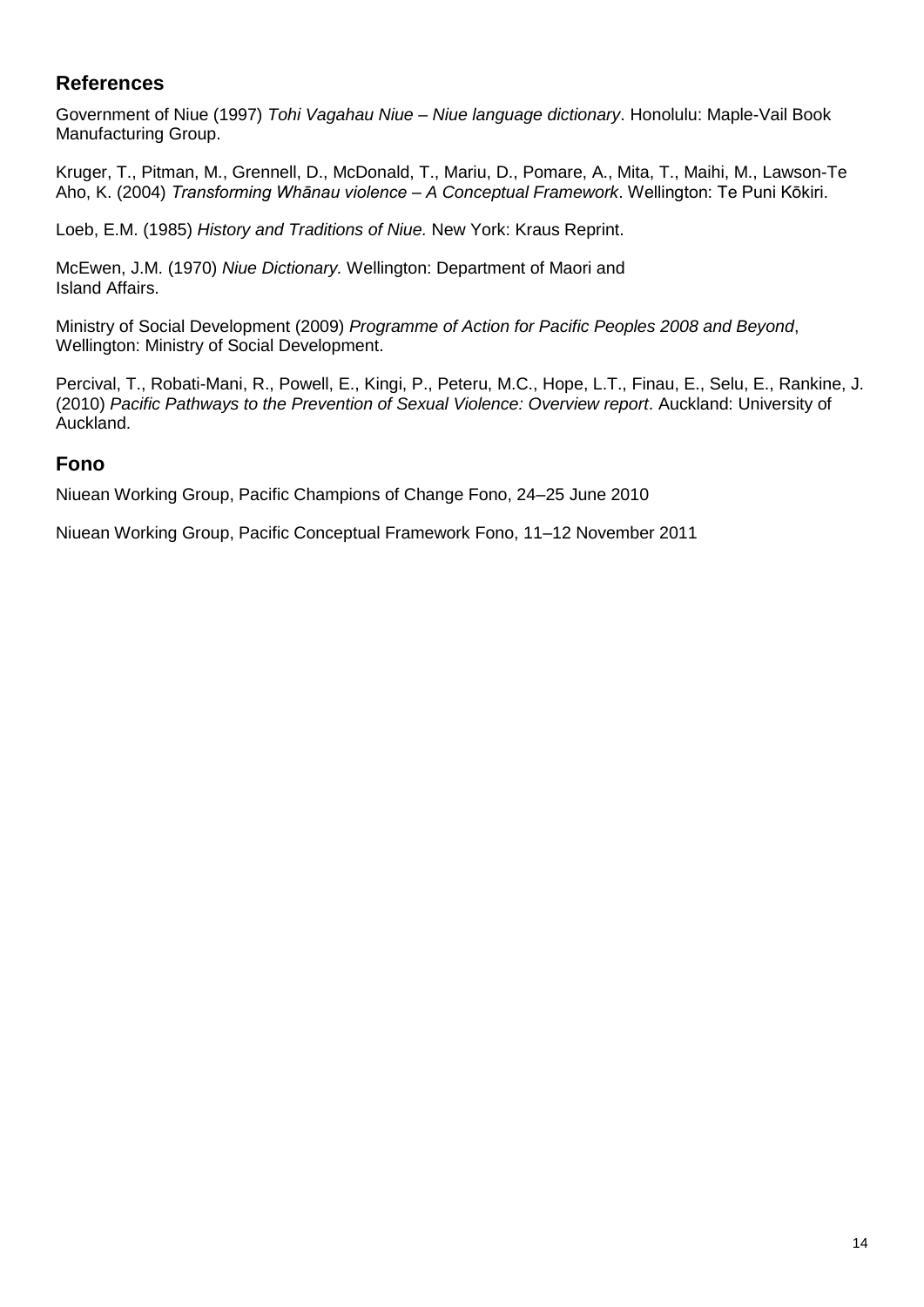### **References**

Government of Niue (1997) *Tohi Vagahau Niue – Niue language dictionary*. Honolulu: Maple-Vail Book Manufacturing Group.

Kruger, T., Pitman, M., Grennell, D., McDonald, T., Mariu, D., Pomare, A., Mita, T., Maihi, M., Lawson-Te Aho, K. (2004) *Transforming Whānau violence – A Conceptual Framework*. Wellington: Te Puni Kōkiri.

Loeb, E.M. (1985) *History and Traditions of Niue.* New York: Kraus Reprint.

McEwen, J.M. (1970) *Niue Dictionary.* Wellington: Department of Maori and Island Affairs.

Ministry of Social Development (2009) *Programme of Action for Pacific Peoples 2008 and Beyond*, Wellington: Ministry of Social Development.

Percival, T., Robati-Mani, R., Powell, E., Kingi, P., Peteru, M.C., Hope, L.T., Finau, E., Selu, E., Rankine, J. (2010) *Pacific Pathways to the Prevention of Sexual Violence: Overview report*. Auckland: University of Auckland.

#### **Fono**

Niuean Working Group, Pacific Champions of Change Fono, 24–25 June 2010

Niuean Working Group, Pacific Conceptual Framework Fono, 11–12 November 2011